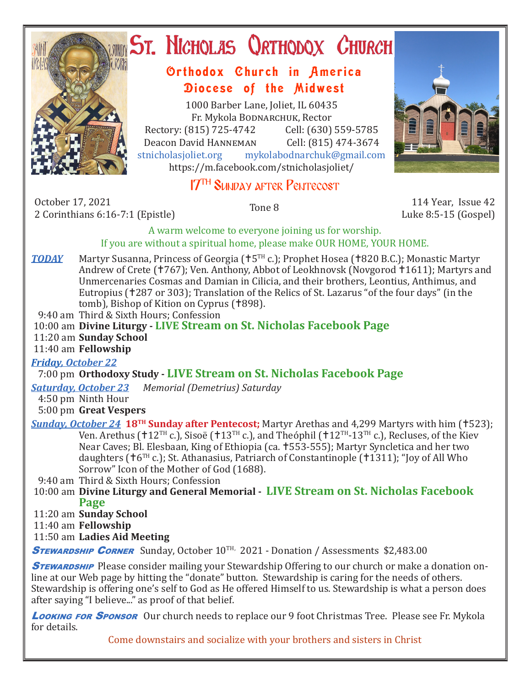

# ST. NICHOLAS QRTHODOX CHURCH

## Orthodox Church in America Diocese of the Midwest

1000 Barber Lane, Joliet, IL 60435 Fr. Mykola Bodnarchuk, Rector Rectory: (815) 725-4742 Cell: (630) 559-5785<br>Deacon David HANNEMAN Cell: (815) 474-3674 Deacon David Hanneman<br>stnicholasioliet.org mykola mykolabodnarchuk@gmail.com https://m.facebook.com/stnicholasjoliet/

# 17TH Sunday after Pentecost

October 17, 2021 2 October 17, 2021<br>2 Corinthians 6:16-7:1 (Epistle) 114 Year, Issue 42<br>2 Corinthians 6:16-7:1 (Epistle) 1990 12:47 Tone 8

Luke 8:5-15 (Gospel)

A warm welcome to everyone joining us for worship. If you are without a spiritual home, please make OUR HOME, YOUR HOME.

**TODAY** Martyr Susanna, Princess of Georgia ( $\uparrow$ 5<sup>TH</sup> c.); Prophet Hosea ( $\uparrow$ 820 B.C.); Monastic Martyr Andrew of Crete († 767); Ven. Anthony, Abbot of Leokhnovsk (Novgorod † 1611); Martyrs and Unmercenaries Cosmas and Damian in Cilicia, and their brothers, Leontius, Anthimus, and Eutropius (†287 or 303); Translation of the Relics of St. Lazarus "of the four days" (in the

tomb), Bishop of Kition on Cyprus (†898).

9:40 am Third & Sixth Hours; Confession

10:00 am **Divine Liturgy - LIVE Stream on St. Nicholas Facebook Page**

11:20 am **Sunday School**

11:40 am **Fellowship**

#### *Friday, October 22*

### 7:00 pm **Orthodoxy Study - LIVE Stream on St. Nicholas Facebook Page**

*Saturday, October 23 Memorial (Demetrius) Saturday*

4:50 pm Ninth Hour

#### 5:00 pm **Great Vespers**

**Sunday, October 24 18<sup>TH</sup> Sunday after Pentecost;** Martyr Arethas and 4,299 Martyrs with him (†523); Ven. Arethus ( $12^{TH}$  c.), Sisoë ( $13^{TH}$  c.), and Theóphil ( $112^{TH}-13^{TH}$  c.), Recluses, of the Kiev Near Caves; Bl. Elesbaan, King of Ethiopia (ca. 553-555); Martyr Syncletica and her two daughters ( $\uparrow$ 6<sup>TH</sup> c.); St. Athanasius, Patriarch of Constantinople ( $\uparrow$ 1311); "Joy of All Who Sorrow" Icon of the Mother of God (1688).

9:40 am Third & Sixth Hours; Confession

 10:00 am **Divine Liturgy and General Memorial - LIVE Stream on St. Nicholas Facebook Page**

11:20 am **Sunday School**

11:40 am **Fellowship**

11:50 am **Ladies Aid Meeting**

**STEWARDSHIP CORNER** Sunday, October 10<sup>TH,</sup> 2021 - Donation / Assessments \$2,483.00

**STEWARDSHIP** Please consider mailing your Stewardship Offering to our church or make a donation online at our Web page by hitting the "donate" button. Stewardship is caring for the needs of others. Stewardship is offering one's self to God as He offered Himself to us. Stewardship is what a person does after saying "I believe..." as proof of that belief.

Looking for Sponsor Our church needs to replace our 9 foot Christmas Tree. Please see Fr. Mykola for details.

Come downstairs and socialize with your brothers and sisters in Christ